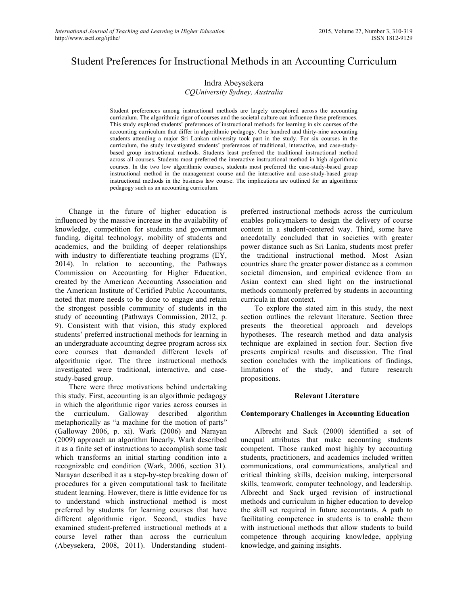## Student Preferences for Instructional Methods in an Accounting Curriculum

# Indra Abeysekera

*CQUniversity Sydney, Australia*

Student preferences among instructional methods are largely unexplored across the accounting curriculum. The algorithmic rigor of courses and the societal culture can influence these preferences. This study explored students' preferences of instructional methods for learning in six courses of the accounting curriculum that differ in algorithmic pedagogy. One hundred and thirty-nine accounting students attending a major Sri Lankan university took part in the study. For six courses in the curriculum, the study investigated students' preferences of traditional, interactive, and case-studybased group instructional methods. Students least preferred the traditional instructional method across all courses. Students most preferred the interactive instructional method in high algorithmic courses. In the two low algorithmic courses, students most preferred the case-study-based group instructional method in the management course and the interactive and case-study-based group instructional methods in the business law course. The implications are outlined for an algorithmic pedagogy such as an accounting curriculum.

Change in the future of higher education is influenced by the massive increase in the availability of knowledge, competition for students and government funding, digital technology, mobility of students and academics, and the building of deeper relationships with industry to differentiate teaching programs (EY, 2014). In relation to accounting, the Pathways Commission on Accounting for Higher Education, created by the American Accounting Association and the American Institute of Certified Public Accountants, noted that more needs to be done to engage and retain the strongest possible community of students in the study of accounting (Pathways Commission, 2012, p. 9). Consistent with that vision, this study explored students' preferred instructional methods for learning in an undergraduate accounting degree program across six core courses that demanded different levels of algorithmic rigor. The three instructional methods investigated were traditional, interactive, and casestudy-based group.

There were three motivations behind undertaking this study. First, accounting is an algorithmic pedagogy in which the algorithmic rigor varies across courses in the curriculum. Galloway described algorithm metaphorically as "a machine for the motion of parts" (Galloway 2006, p. xi). Wark (2006) and Narayan (2009) approach an algorithm linearly. Wark described it as a finite set of instructions to accomplish some task which transforms an initial starting condition into a recognizable end condition (Wark, 2006, section 31). Narayan described it as a step-by-step breaking down of procedures for a given computational task to facilitate student learning. However, there is little evidence for us to understand which instructional method is most preferred by students for learning courses that have different algorithmic rigor. Second, studies have examined student-preferred instructional methods at a course level rather than across the curriculum (Abeysekera, 2008, 2011). Understanding studentpreferred instructional methods across the curriculum enables policymakers to design the delivery of course content in a student-centered way. Third, some have anecdotally concluded that in societies with greater power distance such as Sri Lanka, students most prefer the traditional instructional method. Most Asian countries share the greater power distance as a common societal dimension, and empirical evidence from an Asian context can shed light on the instructional methods commonly preferred by students in accounting curricula in that context.

To explore the stated aim in this study, the next section outlines the relevant literature. Section three presents the theoretical approach and develops hypotheses. The research method and data analysis technique are explained in section four. Section five presents empirical results and discussion. The final section concludes with the implications of findings, limitations of the study, and future research propositions.

#### **Relevant Literature**

#### **Contemporary Challenges in Accounting Education**

Albrecht and Sack (2000) identified a set of unequal attributes that make accounting students competent. Those ranked most highly by accounting students, practitioners, and academics included written communications, oral communications, analytical and critical thinking skills, decision making, interpersonal skills, teamwork, computer technology, and leadership. Albrecht and Sack urged revision of instructional methods and curriculum in higher education to develop the skill set required in future accountants. A path to facilitating competence in students is to enable them with instructional methods that allow students to build competence through acquiring knowledge, applying knowledge, and gaining insights.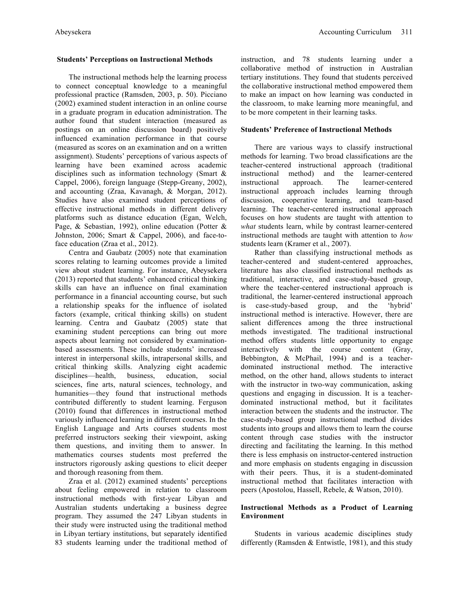### **Students' Perceptions on Instructional Methods**

The instructional methods help the learning process to connect conceptual knowledge to a meaningful professional practice (Ramsden, 2003, p. 50). Picciano (2002) examined student interaction in an online course in a graduate program in education administration. The author found that student interaction (measured as postings on an online discussion board) positively influenced examination performance in that course (measured as scores on an examination and on a written assignment). Students' perceptions of various aspects of learning have been examined across academic disciplines such as information technology (Smart & Cappel, 2006), foreign language (Stepp-Greany, 2002), and accounting (Zraa, Kavanagh, & Morgan, 2012). Studies have also examined student perceptions of effective instructional methods in different delivery platforms such as distance education (Egan, Welch, Page, & Sebastian, 1992), online education (Potter & Johnston, 2006; Smart & Cappel, 2006), and face-toface education (Zraa et al., 2012).

Centra and Gaubatz (2005) note that examination scores relating to learning outcomes provide a limited view about student learning. For instance, Abeysekera (2013) reported that students' enhanced critical thinking skills can have an influence on final examination performance in a financial accounting course, but such a relationship speaks for the influence of isolated factors (example, critical thinking skills) on student learning. Centra and Gaubatz (2005) state that examining student perceptions can bring out more aspects about learning not considered by examinationbased assessments. These include students' increased interest in interpersonal skills, intrapersonal skills, and critical thinking skills. Analyzing eight academic disciplines—health, business, education, social sciences, fine arts, natural sciences, technology, and humanities—they found that instructional methods contributed differently to student learning. Ferguson (2010) found that differences in instructional method variously influenced learning in different courses. In the English Language and Arts courses students most preferred instructors seeking their viewpoint, asking them questions, and inviting them to answer. In mathematics courses students most preferred the instructors rigorously asking questions to elicit deeper and thorough reasoning from them.

Zraa et al. (2012) examined students' perceptions about feeling empowered in relation to classroom instructional methods with first-year Libyan and Australian students undertaking a business degree program. They assumed the 247 Libyan students in their study were instructed using the traditional method in Libyan tertiary institutions, but separately identified 83 students learning under the traditional method of instruction, and 78 students learning under a collaborative method of instruction in Australian tertiary institutions. They found that students perceived the collaborative instructional method empowered them to make an impact on how learning was conducted in the classroom, to make learning more meaningful, and to be more competent in their learning tasks.

#### **Students' Preference of Instructional Methods**

There are various ways to classify instructional methods for learning. Two broad classifications are the teacher-centered instructional approach (traditional instructional method) and the learner-centered instructional approach. The learner-centered instructional approach includes learning through discussion, cooperative learning, and team-based learning. The teacher-centered instructional approach focuses on how students are taught with attention to *what* students learn, while by contrast learner-centered instructional methods are taught with attention to *how* students learn (Kramer et al., 2007).

Rather than classifying instructional methods as teacher-centered and student-centered approaches, literature has also classified instructional methods as traditional, interactive, and case-study-based group, where the teacher-centered instructional approach is traditional, the learner-centered instructional approach is case-study-based group, and the 'hybrid' instructional method is interactive. However, there are salient differences among the three instructional methods investigated. The traditional instructional method offers students little opportunity to engage interactively with the course content (Gray, Bebbington, & McPhail, 1994) and is a teacherdominated instructional method. The interactive method, on the other hand, allows students to interact with the instructor in two-way communication, asking questions and engaging in discussion. It is a teacherdominated instructional method, but it facilitates interaction between the students and the instructor. The case-study-based group instructional method divides students into groups and allows them to learn the course content through case studies with the instructor directing and facilitating the learning. In this method there is less emphasis on instructor-centered instruction and more emphasis on students engaging in discussion with their peers. Thus, it is a student-dominated instructional method that facilitates interaction with peers (Apostolou, Hassell, Rebele, & Watson, 2010).

#### **Instructional Methods as a Product of Learning Environment**

Students in various academic disciplines study differently (Ramsden & Entwistle, 1981), and this study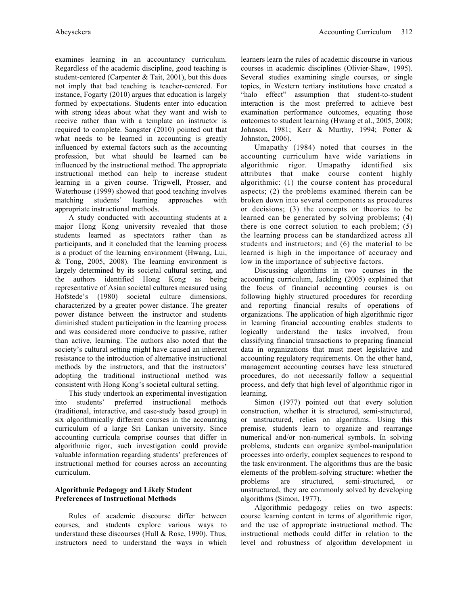examines learning in an accountancy curriculum. Regardless of the academic discipline, good teaching is student-centered (Carpenter & Tait, 2001), but this does not imply that bad teaching is teacher-centered. For instance, Fogarty (2010) argues that education is largely formed by expectations. Students enter into education with strong ideas about what they want and wish to receive rather than with a template an instructor is required to complete. Sangster (2010) pointed out that what needs to be learned in accounting is greatly influenced by external factors such as the accounting profession, but what should be learned can be influenced by the instructional method. The appropriate instructional method can help to increase student learning in a given course. Trigwell, Prosser, and Waterhouse (1999) showed that good teaching involves matching students' learning approaches with appropriate instructional methods.

A study conducted with accounting students at a major Hong Kong university revealed that those students learned as spectators rather than as participants, and it concluded that the learning process is a product of the learning environment (Hwang, Lui, & Tong, 2005, 2008). The learning environment is largely determined by its societal cultural setting, and the authors identified Hong Kong as being representative of Asian societal cultures measured using Hofstede's (1980) societal culture dimensions, characterized by a greater power distance. The greater power distance between the instructor and students diminished student participation in the learning process and was considered more conducive to passive, rather than active, learning. The authors also noted that the society's cultural setting might have caused an inherent resistance to the introduction of alternative instructional methods by the instructors, and that the instructors' adopting the traditional instructional method was consistent with Hong Kong's societal cultural setting.

This study undertook an experimental investigation into students' preferred instructional methods (traditional, interactive, and case-study based group) in six algorithmically different courses in the accounting curriculum of a large Sri Lankan university. Since accounting curricula comprise courses that differ in algorithmic rigor, such investigation could provide valuable information regarding students' preferences of instructional method for courses across an accounting curriculum.

#### **Algorithmic Pedagogy and Likely Student Preferences of Instructional Methods**

Rules of academic discourse differ between courses, and students explore various ways to understand these discourses (Hull & Rose, 1990). Thus, instructors need to understand the ways in which learners learn the rules of academic discourse in various courses in academic disciplines (Olivier-Shaw, 1995). Several studies examining single courses, or single topics, in Western tertiary institutions have created a "halo effect" assumption that student-to-student interaction is the most preferred to achieve best examination performance outcomes, equating those outcomes to student learning (Hwang et al., 2005, 2008; Johnson, 1981; Kerr & Murthy, 1994; Potter & Johnston, 2006).

Umapathy (1984) noted that courses in the accounting curriculum have wide variations in algorithmic rigor. Umapathy identified six attributes that make course content highly algorithmic: (1) the course content has procedural aspects; (2) the problems examined therein can be broken down into several components as procedures or decisions; (3) the concepts or theories to be learned can be generated by solving problems; (4) there is one correct solution to each problem; (5) the learning process can be standardized across all students and instructors; and (6) the material to be learned is high in the importance of accuracy and low in the importance of subjective factors.

Discussing algorithms in two courses in the accounting curriculum, Jackling (2005) explained that the focus of financial accounting courses is on following highly structured procedures for recording and reporting financial results of operations of organizations. The application of high algorithmic rigor in learning financial accounting enables students to logically understand the tasks involved, from classifying financial transactions to preparing financial data in organizations that must meet legislative and accounting regulatory requirements. On the other hand, management accounting courses have less structured procedures, do not necessarily follow a sequential process, and defy that high level of algorithmic rigor in learning.

Simon (1977) pointed out that every solution construction, whether it is structured, semi-structured, or unstructured, relies on algorithms. Using this premise, students learn to organize and rearrange numerical and/or non-numerical symbols. In solving problems, students can organize symbol-manipulation processes into orderly, complex sequences to respond to the task environment. The algorithms thus are the basic elements of the problem-solving structure: whether the problems are structured, semi-structured, or unstructured, they are commonly solved by developing algorithms (Simon, 1977).

Algorithmic pedagogy relies on two aspects: course learning content in terms of algorithmic rigor, and the use of appropriate instructional method. The instructional methods could differ in relation to the level and robustness of algorithm development in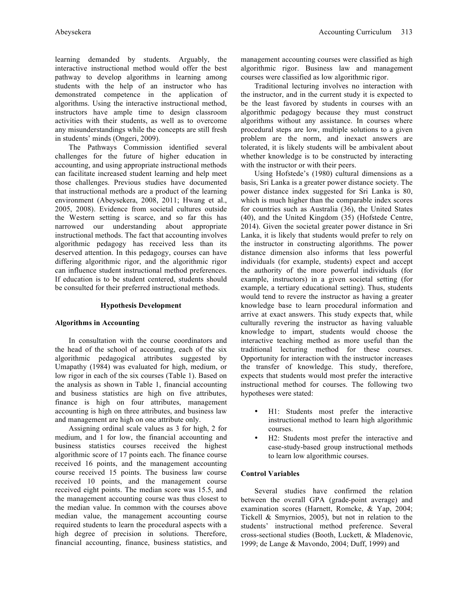learning demanded by students. Arguably, the interactive instructional method would offer the best pathway to develop algorithms in learning among students with the help of an instructor who has demonstrated competence in the application of algorithms. Using the interactive instructional method, instructors have ample time to design classroom activities with their students, as well as to overcome any misunderstandings while the concepts are still fresh in students' minds (Ongeri, 2009).

The Pathways Commission identified several challenges for the future of higher education in accounting, and using appropriate instructional methods can facilitate increased student learning and help meet those challenges. Previous studies have documented that instructional methods are a product of the learning environment (Abeysekera, 2008, 2011; Hwang et al., 2005, 2008). Evidence from societal cultures outside the Western setting is scarce, and so far this has narrowed our understanding about appropriate instructional methods. The fact that accounting involves algorithmic pedagogy has received less than its deserved attention. In this pedagogy, courses can have differing algorithmic rigor, and the algorithmic rigor can influence student instructional method preferences. If education is to be student centered, students should be consulted for their preferred instructional methods.

#### **Hypothesis Development**

#### **Algorithms in Accounting**

In consultation with the course coordinators and the head of the school of accounting, each of the six algorithmic pedagogical attributes suggested by Umapathy (1984) was evaluated for high, medium, or low rigor in each of the six courses (Table 1). Based on the analysis as shown in Table 1, financial accounting and business statistics are high on five attributes, finance is high on four attributes, management accounting is high on three attributes, and business law and management are high on one attribute only.

Assigning ordinal scale values as 3 for high, 2 for medium, and 1 for low, the financial accounting and business statistics courses received the highest algorithmic score of 17 points each. The finance course received 16 points, and the management accounting course received 15 points. The business law course received 10 points, and the management course received eight points. The median score was 15.5, and the management accounting course was thus closest to the median value. In common with the courses above median value, the management accounting course required students to learn the procedural aspects with a high degree of precision in solutions. Therefore, financial accounting, finance, business statistics, and management accounting courses were classified as high algorithmic rigor. Business law and management courses were classified as low algorithmic rigor.

Traditional lecturing involves no interaction with the instructor, and in the current study it is expected to be the least favored by students in courses with an algorithmic pedagogy because they must construct algorithms without any assistance. In courses where procedural steps are low, multiple solutions to a given problem are the norm, and inexact answers are tolerated, it is likely students will be ambivalent about whether knowledge is to be constructed by interacting with the instructor or with their peers.

Using Hofstede's (1980) cultural dimensions as a basis, Sri Lanka is a greater power distance society. The power distance index suggested for Sri Lanka is 80, which is much higher than the comparable index scores for countries such as Australia (36), the United States (40), and the United Kingdom (35) (Hofstede Centre, 2014). Given the societal greater power distance in Sri Lanka, it is likely that students would prefer to rely on the instructor in constructing algorithms. The power distance dimension also informs that less powerful individuals (for example, students) expect and accept the authority of the more powerful individuals (for example, instructors) in a given societal setting (for example, a tertiary educational setting). Thus, students would tend to revere the instructor as having a greater knowledge base to learn procedural information and arrive at exact answers. This study expects that, while culturally revering the instructor as having valuable knowledge to impart, students would choose the interactive teaching method as more useful than the traditional lecturing method for these courses. Opportunity for interaction with the instructor increases the transfer of knowledge. This study, therefore, expects that students would most prefer the interactive instructional method for courses. The following two hypotheses were stated:

- H1: Students most prefer the interactive instructional method to learn high algorithmic courses.
- H2: Students most prefer the interactive and case-study-based group instructional methods to learn low algorithmic courses.

#### **Control Variables**

Several studies have confirmed the relation between the overall GPA (grade-point average) and examination scores (Harnett, Romcke, & Yap, 2004; Tickell & Smyrnios, 2005), but not in relation to the students' instructional method preference. Several cross-sectional studies (Booth, Luckett, & Mladenovic, 1999; de Lange & Mavondo, 2004; Duff, 1999) and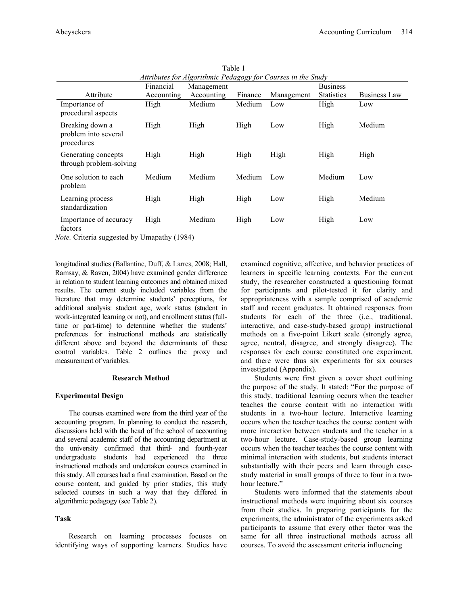| Attributes for Algorithmic Pedagogy for Courses in the Study |            |            |         |            |                   |              |  |
|--------------------------------------------------------------|------------|------------|---------|------------|-------------------|--------------|--|
|                                                              | Financial  | Management |         |            | <b>Business</b>   |              |  |
| Attribute                                                    | Accounting | Accounting | Finance | Management | <b>Statistics</b> | Business Law |  |
| Importance of<br>procedural aspects                          | High       | Medium     | Medium  | Low        | High              | Low          |  |
| Breaking down a<br>problem into several<br>procedures        | High       | High       | High    | Low        | High              | Medium       |  |
| Generating concepts<br>through problem-solving               | High       | High       | High    | High       | High              | High         |  |
| One solution to each<br>Medium<br>problem                    |            | Medium     | Medium  | Low        | Medium            | Low          |  |
| Learning process<br>standardization                          | High       | High       | High    | Low        | High              | Medium       |  |
| Importance of accuracy<br>High<br>factors                    |            | Medium     | High    | Low        | High              | Low          |  |

Table 1 *Attributes for Algorithmic Pedagogy for Courses in the Study* 

*Note.* Criteria suggested by Umapathy (1984)

longitudinal studies (Ballantine, Duff, & Larres, 2008; Hall, Ramsay, & Raven, 2004) have examined gender difference in relation to student learning outcomes and obtained mixed results. The current study included variables from the literature that may determine students' perceptions, for additional analysis: student age, work status (student in work-integrated learning or not), and enrollment status (fulltime or part-time) to determine whether the students' preferences for instructional methods are statistically different above and beyond the determinants of these control variables. Table 2 outlines the proxy and measurement of variables.

#### **Research Method**

#### **Experimental Design**

The courses examined were from the third year of the accounting program. In planning to conduct the research, discussions held with the head of the school of accounting and several academic staff of the accounting department at the university confirmed that third- and fourth-year undergraduate students had experienced the three instructional methods and undertaken courses examined in this study. All courses had a final examination. Based on the course content, and guided by prior studies, this study selected courses in such a way that they differed in algorithmic pedagogy (see Table 2).

#### **Task**

Research on learning processes focuses on identifying ways of supporting learners. Studies have examined cognitive, affective, and behavior practices of learners in specific learning contexts. For the current study, the researcher constructed a questioning format for participants and pilot-tested it for clarity and appropriateness with a sample comprised of academic staff and recent graduates. It obtained responses from students for each of the three (i.e., traditional, interactive, and case-study-based group) instructional methods on a five-point Likert scale (strongly agree, agree, neutral, disagree, and strongly disagree). The responses for each course constituted one experiment, and there were thus six experiments for six courses investigated (Appendix).

Students were first given a cover sheet outlining the purpose of the study. It stated: "For the purpose of this study, traditional learning occurs when the teacher teaches the course content with no interaction with students in a two-hour lecture. Interactive learning occurs when the teacher teaches the course content with more interaction between students and the teacher in a two-hour lecture. Case-study-based group learning occurs when the teacher teaches the course content with minimal interaction with students, but students interact substantially with their peers and learn through casestudy material in small groups of three to four in a twohour lecture."

Students were informed that the statements about instructional methods were inquiring about six courses from their studies. In preparing participants for the experiments, the administrator of the experiments asked participants to assume that every other factor was the same for all three instructional methods across all courses. To avoid the assessment criteria influencing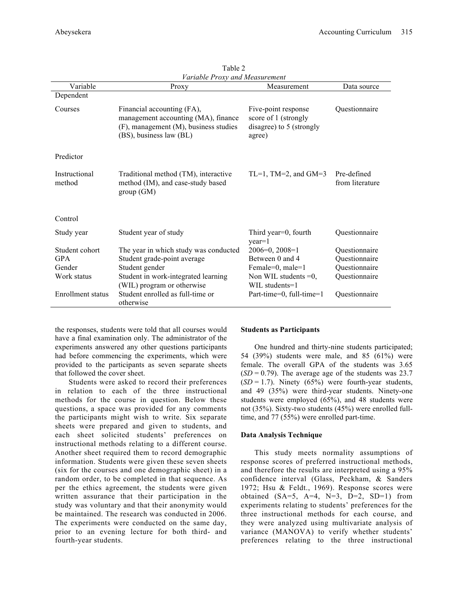|                                                       | Variable Proxy and Measurement                                                                                                                              |                                                                                                      |                                                                  |  |  |  |  |
|-------------------------------------------------------|-------------------------------------------------------------------------------------------------------------------------------------------------------------|------------------------------------------------------------------------------------------------------|------------------------------------------------------------------|--|--|--|--|
| Variable                                              | Proxy                                                                                                                                                       | Measurement                                                                                          | Data source                                                      |  |  |  |  |
| Dependent                                             |                                                                                                                                                             |                                                                                                      |                                                                  |  |  |  |  |
| Courses                                               | Financial accounting (FA),<br>management accounting (MA), finance<br>(F), management (M), business studies<br>(BS), business law (BL)                       | Five-point response<br>score of 1 (strongly<br>disagree) to 5 (strongly<br>agree)                    | Questionnaire                                                    |  |  |  |  |
| Predictor                                             |                                                                                                                                                             |                                                                                                      |                                                                  |  |  |  |  |
| Instructional<br>method                               | Traditional method (TM), interactive<br>method (IM), and case-study based<br>group(GM)                                                                      | TL=1, TM=2, and GM=3                                                                                 | Pre-defined<br>from literature                                   |  |  |  |  |
| Control                                               |                                                                                                                                                             |                                                                                                      |                                                                  |  |  |  |  |
| Study year                                            | Student year of study                                                                                                                                       | Third year=0, fourth<br>$year=1$                                                                     | Questionnaire                                                    |  |  |  |  |
| Student cohort<br><b>GPA</b><br>Gender<br>Work status | The year in which study was conducted<br>Student grade-point average<br>Student gender<br>Student in work-integrated learning<br>(WIL) program or otherwise | $2006=0, 2008=1$<br>Between 0 and 4<br>Female=0, male=1<br>Non WIL students $=0$ ,<br>WIL students=1 | Questionnaire<br>Questionnaire<br>Questionnaire<br>Questionnaire |  |  |  |  |
| Enrollment status                                     | Student enrolled as full-time or<br>otherwise                                                                                                               | Part-time=0, full-time=1                                                                             | Questionnaire                                                    |  |  |  |  |

| Table 2 |                          |  |  |  |  |
|---------|--------------------------|--|--|--|--|
|         | iable Proxy and Measuren |  |  |  |  |

the responses, students were told that all courses would have a final examination only. The administrator of the experiments answered any other questions participants had before commencing the experiments, which were provided to the participants as seven separate sheets that followed the cover sheet.

Students were asked to record their preferences in relation to each of the three instructional methods for the course in question. Below these questions, a space was provided for any comments the participants might wish to write. Six separate sheets were prepared and given to students, and each sheet solicited students' preferences on instructional methods relating to a different course. Another sheet required them to record demographic information. Students were given these seven sheets (six for the courses and one demographic sheet) in a random order, to be completed in that sequence. As per the ethics agreement, the students were given written assurance that their participation in the study was voluntary and that their anonymity would be maintained. The research was conducted in 2006. The experiments were conducted on the same day, prior to an evening lecture for both third- and fourth-year students.

#### **Students as Participants**

One hundred and thirty-nine students participated; 54 (39%) students were male, and 85 (61%) were female. The overall GPA of the students was 3.65  $(SD = 0.79)$ . The average age of the students was 23.7  $(SD = 1.7)$ . Ninety  $(65\%)$  were fourth-year students, and 49 (35%) were third-year students. Ninety-one students were employed (65%), and 48 students were not (35%). Sixty-two students (45%) were enrolled fulltime, and 77 (55%) were enrolled part-time.

#### **Data Analysis Technique**

This study meets normality assumptions of response scores of preferred instructional methods, and therefore the results are interpreted using a 95% confidence interval (Glass, Peckham, & Sanders 1972; Hsu & Feldt., 1969). Response scores were obtained  $(SA=5, A=4, N=3, D=2, SD=1)$  from experiments relating to students' preferences for the three instructional methods for each course, and they were analyzed using multivariate analysis of variance (MANOVA) to verify whether students' preferences relating to the three instructional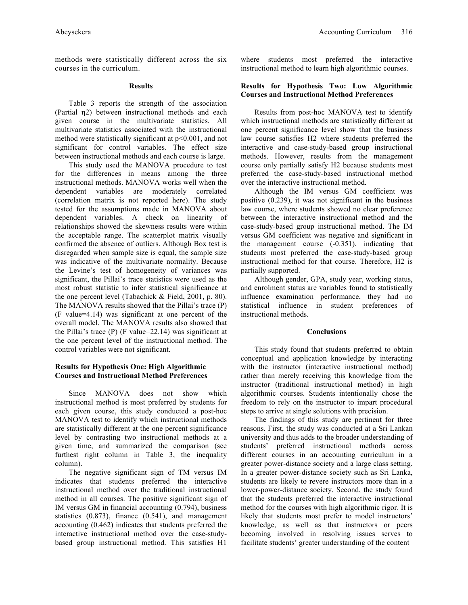methods were statistically different across the six courses in the curriculum.

#### **Results**

Table 3 reports the strength of the association (Partial η2) between instructional methods and each given course in the multivariate statistics. All multivariate statistics associated with the instructional method were statistically significant at p<0.001, and not significant for control variables. The effect size between instructional methods and each course is large.

This study used the MANOVA procedure to test for the differences in means among the three instructional methods. MANOVA works well when the dependent variables are moderately correlated (correlation matrix is not reported here). The study tested for the assumptions made in MANOVA about dependent variables. A check on linearity of relationships showed the skewness results were within the acceptable range. The scatterplot matrix visually confirmed the absence of outliers. Although Box test is disregarded when sample size is equal, the sample size was indicative of the multivariate normality. Because the Levine's test of homogeneity of variances was significant, the Pillai's trace statistics were used as the most robust statistic to infer statistical significance at the one percent level (Tabachick & Field, 2001, p. 80). The MANOVA results showed that the Pillai's trace (P) (F value=4.14) was significant at one percent of the overall model. The MANOVA results also showed that the Pillai's trace (P) (F value=22.14) was significant at the one percent level of the instructional method. The control variables were not significant.

#### **Results for Hypothesis One: High Algorithmic Courses and Instructional Method Preferences**

Since MANOVA does not show which instructional method is most preferred by students for each given course, this study conducted a post-hoc MANOVA test to identify which instructional methods are statistically different at the one percent significance level by contrasting two instructional methods at a given time, and summarized the comparison (see furthest right column in Table 3, the inequality column).

The negative significant sign of TM versus IM indicates that students preferred the interactive instructional method over the traditional instructional method in all courses. The positive significant sign of IM versus GM in financial accounting (0.794), business statistics (0.873), finance (0.541), and management accounting (0.462) indicates that students preferred the interactive instructional method over the case-studybased group instructional method. This satisfies H1

where students most preferred the interactive instructional method to learn high algorithmic courses.

#### **Results for Hypothesis Two: Low Algorithmic Courses and Instructional Method Preferences**

Results from post-hoc MANOVA test to identify which instructional methods are statistically different at one percent significance level show that the business law course satisfies H2 where students preferred the interactive and case-study-based group instructional methods. However, results from the management course only partially satisfy H2 because students most preferred the case-study-based instructional method over the interactive instructional method.

Although the IM versus GM coefficient was positive (0.239), it was not significant in the business law course, where students showed no clear preference between the interactive instructional method and the case-study-based group instructional method. The IM versus GM coefficient was negative and significant in the management course (-0.351), indicating that students most preferred the case-study-based group instructional method for that course. Therefore, H2 is partially supported.

Although gender, GPA, study year, working status, and enrolment status are variables found to statistically influence examination performance, they had no statistical influence in student preferences of instructional methods.

#### **Conclusions**

This study found that students preferred to obtain conceptual and application knowledge by interacting with the instructor (interactive instructional method) rather than merely receiving this knowledge from the instructor (traditional instructional method) in high algorithmic courses. Students intentionally chose the freedom to rely on the instructor to impart procedural steps to arrive at single solutions with precision.

The findings of this study are pertinent for three reasons. First, the study was conducted at a Sri Lankan university and thus adds to the broader understanding of students' preferred instructional methods across different courses in an accounting curriculum in a greater power-distance society and a large class setting. In a greater power-distance society such as Sri Lanka, students are likely to revere instructors more than in a lower-power-distance society. Second, the study found that the students preferred the interactive instructional method for the courses with high algorithmic rigor. It is likely that students most prefer to model instructors' knowledge, as well as that instructors or peers becoming involved in resolving issues serves to facilitate students' greater understanding of the content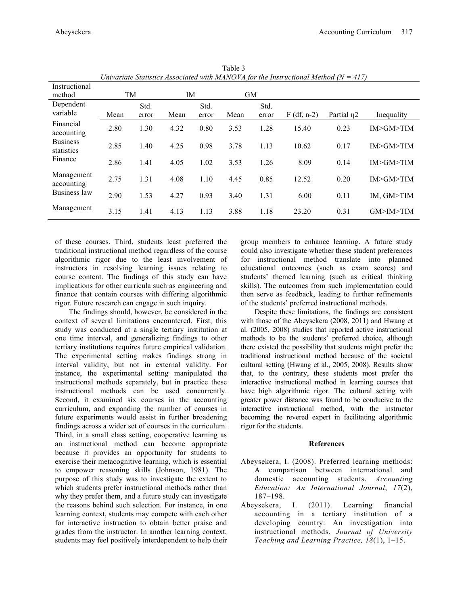| Instructional<br>method                                  | <b>TM</b> |               | IM   |               | <b>GM</b> |               |               |                        |            |
|----------------------------------------------------------|-----------|---------------|------|---------------|-----------|---------------|---------------|------------------------|------------|
| Dependent<br>variable                                    | Mean      | Std.<br>error | Mean | Std.<br>error | Mean      | Std.<br>error | $F$ (df, n-2) | Partial n <sub>2</sub> | Inequality |
| Financial<br>accounting<br><b>Business</b><br>statistics | 2.80      | 1.30          | 4.32 | 0.80          | 3.53      | 1.28          | 15.40         | 0.23                   | IM>GM>TIM  |
|                                                          | 2.85      | 1.40          | 4.25 | 0.98          | 3.78      | 1.13          | 10.62         | 0.17                   | IM>GM>TIM  |
| Finance                                                  | 2.86      | 1.41          | 4.05 | 1.02          | 3.53      | 1.26          | 8.09          | 0.14                   | IM>GM>TIM  |
| Management<br>accounting<br>Business law                 | 2.75      | 1.31          | 4.08 | 1.10          | 4.45      | 0.85          | 12.52         | 0.20                   | IM>GM>TIM  |
|                                                          | 2.90      | 1.53          | 4.27 | 0.93          | 3.40      | 1.31          | 6.00          | 0.11                   | IM, GM>TIM |
| Management                                               | 3.15      | 1.41          | 4.13 | 1.13          | 3.88      | 1.18          | 23.20         | 0.31                   | GM>IM>TIM  |

Table 3 *Univariate Statistics Associated with MANOVA for the Instructional Method (N = 417)*

of these courses. Third, students least preferred the traditional instructional method regardless of the course algorithmic rigor due to the least involvement of instructors in resolving learning issues relating to course content. The findings of this study can have implications for other curricula such as engineering and finance that contain courses with differing algorithmic rigor. Future research can engage in such inquiry.

The findings should, however, be considered in the context of several limitations encountered. First, this study was conducted at a single tertiary institution at one time interval, and generalizing findings to other tertiary institutions requires future empirical validation. The experimental setting makes findings strong in interval validity, but not in external validity. For instance, the experimental setting manipulated the instructional methods separately, but in practice these instructional methods can be used concurrently. Second, it examined six courses in the accounting curriculum, and expanding the number of courses in future experiments would assist in further broadening findings across a wider set of courses in the curriculum. Third, in a small class setting, cooperative learning as an instructional method can become appropriate because it provides an opportunity for students to exercise their metacognitive learning, which is essential to empower reasoning skills (Johnson, 1981). The purpose of this study was to investigate the extent to which students prefer instructional methods rather than why they prefer them, and a future study can investigate the reasons behind such selection. For instance, in one learning context, students may compete with each other for interactive instruction to obtain better praise and grades from the instructor. In another learning context, students may feel positively interdependent to help their

group members to enhance learning. A future study could also investigate whether these student preferences for instructional method translate into planned educational outcomes (such as exam scores) and students' themed learning (such as critical thinking skills). The outcomes from such implementation could then serve as feedback, leading to further refinements of the students' preferred instructional methods.

Despite these limitations, the findings are consistent with those of the Abeysekera (2008, 2011) and Hwang et al. (2005, 2008) studies that reported active instructional methods to be the students' preferred choice, although there existed the possibility that students might prefer the traditional instructional method because of the societal cultural setting (Hwang et al., 2005, 2008). Results show that, to the contrary, these students most prefer the interactive instructional method in learning courses that have high algorithmic rigor. The cultural setting with greater power distance was found to be conducive to the interactive instructional method, with the instructor becoming the revered expert in facilitating algorithmic rigor for the students.

#### **References**

- Abeysekera, I. (2008). Preferred learning methods: A comparison between international and domestic accounting students. *Accounting Education: An International Journal*, *17*(2), 187–198.
- Abeysekera, I. (2011). Learning financial accounting in a tertiary institution of a developing country: An investigation into instructional methods. *Journal of University Teaching and Learning Practice, 18*(1), 1–15.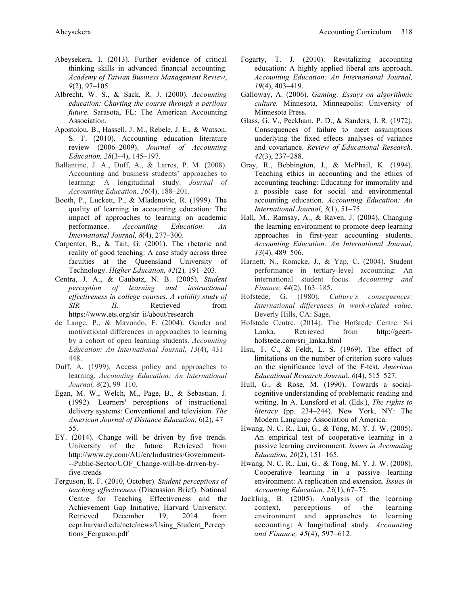- Abeysekera, I. (2013). Further evidence of critical thinking skills in advanced financial accounting. *Academy of Taiwan Business Management Review*, *9*(2), 97–105.
- Albrecht, W. S., & Sack, R. J. (2000). *Accounting education: Charting the course through a perilous future*. Sarasota, FL: The American Accounting Association.
- Apostolou, B., Hassell, J. M., Rebele, J. E., & Watson, S. F. (2010). Accounting education literature review (2006–2009). *Journal of Accounting Education, 28*(3–4), 145–197.
- Ballantine, J. A., Duff, A., & Larres, P. M. (2008). Accounting and business students' approaches to learning: A longitudinal study. *Journal of Accounting Education, 26*(4), 188–201.
- Booth, P., Luckett, P., & Mladenovic, R. (1999). The quality of learning in accounting education: The impact of approaches to learning on academic performance. *Accounting Education: An International Journal, 8*(4), 277–300.
- Carpenter, B., & Tait, G. (2001). The rhetoric and reality of good teaching: A case study across three faculties at the Queensland University of Technology. *Higher Education, 42*(2)*,* 191–203.
- Centra, J. A., & Gaubatz, N. B. (2005). *Student perception of learning and instructional effectiveness in college courses. A validity study of SIR II.* Retrieved from https://www.ets.org/sir\_ii/about/research
- de Lange, P., & Mavondo, F. (2004). Gender and motivational differences in approaches to learning by a cohort of open learning students. *Accounting Education: An International Journal, 13*(4), 431– 448.
- Duff, A. (1999). Access policy and approaches to learning. *Accounting Education: An International Journal, 8*(2), 99–110.
- Egan, M. W., Welch, M., Page, B., & Sebastian, J. (1992). Learners' perceptions of instructional delivery systems: Conventional and television. *The American Journal of Distance Education,* 6(2), 47– 55.
- EY. (2014). Change will be driven by five trends. University of the future*.* Retrieved from http://www.ey.com/AU/en/Industries/Government- --Public-Sector/UOF\_Change-will-be-driven-byfive-trends
- Ferguson, R. F. (2010, October). *Student perceptions of teaching effectiveness* (Discussion Brief). National Centre for Teaching Effectiveness and the Achievement Gap Initiative, Harvard University. Retrieved December 19, 2014 from cepr.harvard.edu/ncte/news/Using\_Student\_Percep tions\_Ferguson.pdf
- Fogarty, T. J. (2010). Revitalizing accounting education: A highly applied liberal arts approach. *Accounting Education: An International Journal, 19*(4), 403–419.
- Galloway, A. (2006). *Gaming: Essays on algorithmic culture.* Minnesota, Minneapolis: University of Minnesota Press.
- Glass, G. V., Peckham, P. D., & Sanders, J. R. (1972). Consequences of failure to meet assumptions underlying the fixed effects analyses of variance and covariance. *Review of Educational Research, 42*(3), 237–288.
- Gray, R., Bebbington, J., & McPhail, K. (1994). Teaching ethics in accounting and the ethics of accounting teaching: Educating for immorality and a possible case for social and environmental accounting education. *Accounting Education: An International Journal, 3*(1), 51–75.
- Hall, M., Ramsay, A., & Raven, J. (2004). Changing the learning environment to promote deep learning approaches in first-year accounting students. *Accounting Education: An International Journal, 13*(4), 489–506.
- Harnett, N., Romcke, J., & Yap, C. (2004). Student performance in tertiary-level accounting: An international student focus. *Accounting and Finance, 44*(2), 163–185.
- Hofstede, G. (1980). *Culture's consequences: International differences in work-related value.* Beverly Hills, CA: Sage.
- Hofstede Centre. (2014). The Hofstede Centre. Sri Lanka. Retrieved from http://geerthofstede.com/sri\_lanka.html
- Hsu, T. C., & Feldt, L. S. (1969). The effect of limitations on the number of criterion score values on the significance level of the F-test. *American Educational Research Journa*l, *6*(4), 515–527.
- Hull, G., & Rose, M. (1990). Towards a socialcognitive understanding of problematic reading and writing. In A. Lunsford et al. (Eds.), *The rights to literacy* (pp. 234–244). New York, NY: The Modern Language Association of America.
- Hwang, N. C. R., Lui, G., & Tong, M. Y. J. W. (2005). An empirical test of cooperative learning in a passive learning environment. *Issues in Accounting Education, 20*(2), 151–165.
- Hwang, N. C. R., Lui, G., & Tong, M. Y. J. W. (2008). Cooperative learning in a passive learning environment: A replication and extension. *Issues in Accounting Education, 23*(1), 67–75.
- Jackling, B. (2005). Analysis of the learning context, perceptions of the learning environment and approaches to learning accounting: A longitudinal study. *Accounting and Finance, 45*(4), 597–612.